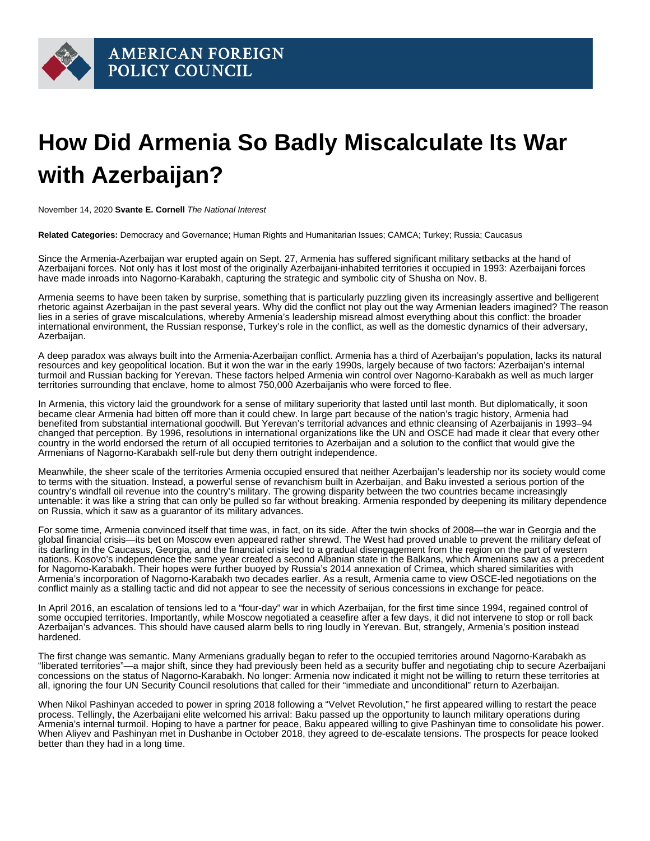

## **How Did Armenia So Badly Miscalculate Its War with Azerbaijan?**

November 14, 2020 **Svante E. Cornell** The National Interest

**Related Categories:** Democracy and Governance; Human Rights and Humanitarian Issues; CAMCA; Turkey; Russia; Caucasus

Since the Armenia-Azerbaijan war erupted again on Sept. 27, Armenia has suffered significant military setbacks at the hand of Azerbaijani forces. Not only has it lost most of the originally Azerbaijani-inhabited territories it occupied in 1993: Azerbaijani forces have made inroads into Nagorno-Karabakh, capturing the strategic and symbolic city of Shusha on Nov. 8.

Armenia seems to have been taken by surprise, something that is particularly puzzling given its increasingly assertive and belligerent rhetoric against Azerbaijan in the past several years. Why did the conflict not play out the way Armenian leaders imagined? The reason lies in a series of grave miscalculations, whereby Armenia's leadership misread almost everything about this conflict: the broader international environment, the Russian response, Turkey's role in the conflict, as well as the domestic dynamics of their adversary, Azerbaijan.

A deep paradox was always built into the Armenia-Azerbaijan conflict. Armenia has a third of Azerbaijan's population, lacks its natural resources and key geopolitical location. But it won the war in the early 1990s, largely because of two factors: Azerbaijan's internal turmoil and Russian backing for Yerevan. These factors helped Armenia win control over Nagorno-Karabakh as well as much larger territories surrounding that enclave, home to almost 750,000 Azerbaijanis who were forced to flee.

In Armenia, this victory laid the groundwork for a sense of military superiority that lasted until last month. But diplomatically, it soon became clear Armenia had bitten off more than it could chew. In large part because of the nation's tragic history, Armenia had benefited from substantial international goodwill. But Yerevan's territorial advances and ethnic cleansing of Azerbaijanis in 1993–94 changed that perception. By 1996, resolutions in international organizations like the UN and OSCE had made it clear that every other country in the world endorsed the return of all occupied territories to Azerbaijan and a solution to the conflict that would give the Armenians of Nagorno-Karabakh self-rule but deny them outright independence.

Meanwhile, the sheer scale of the territories Armenia occupied ensured that neither Azerbaijan's leadership nor its society would come to terms with the situation. Instead, a powerful sense of revanchism built in Azerbaijan, and Baku invested a serious portion of the country's windfall oil revenue into the country's military. The growing disparity between the two countries became increasingly untenable: it was like a string that can only be pulled so far without breaking. Armenia responded by deepening its military dependence on Russia, which it saw as a guarantor of its military advances.

For some time, Armenia convinced itself that time was, in fact, on its side. After the twin shocks of 2008—the war in Georgia and the global financial crisis—its bet on Moscow even appeared rather shrewd. The West had proved unable to prevent the military defeat of its darling in the Caucasus, Georgia, and the financial crisis led to a gradual disengagement from the region on the part of western nations. Kosovo's independence the same year created a second Albanian state in the Balkans, which Armenians saw as a precedent for Nagorno-Karabakh. Their hopes were further buoyed by Russia's 2014 annexation of Crimea, which shared similarities with Armenia's incorporation of Nagorno-Karabakh two decades earlier. As a result, Armenia came to view OSCE-led negotiations on the conflict mainly as a stalling tactic and did not appear to see the necessity of serious concessions in exchange for peace.

In April 2016, an escalation of tensions led to a "four-day" war in which Azerbaijan, for the first time since 1994, regained control of some occupied territories. Importantly, while Moscow negotiated a ceasefire after a few days, it did not intervene to stop or roll back Azerbaijan's advances. This should have caused alarm bells to ring loudly in Yerevan. But, strangely, Armenia's position instead hardened.

The first change was semantic. Many Armenians gradually began to refer to the occupied territories around Nagorno-Karabakh as "liberated territories"—a major shift, since they had previously been held as a security buffer and negotiating chip to secure Azerbaijani concessions on the status of Nagorno-Karabakh. No longer: Armenia now indicated it might not be willing to return these territories at all, ignoring the four UN Security Council resolutions that called for their "immediate and unconditional" return to Azerbaijan.

When Nikol Pashinyan acceded to power in spring 2018 following a "Velvet Revolution," he first appeared willing to restart the peace process. Tellingly, the Azerbaijani elite welcomed his arrival: Baku passed up the opportunity to launch military operations during Armenia's internal turmoil. Hoping to have a partner for peace, Baku appeared willing to give Pashinyan time to consolidate his power. When Aliyev and Pashinyan met in Dushanbe in October 2018, they agreed to de-escalate tensions. The prospects for peace looked better than they had in a long time.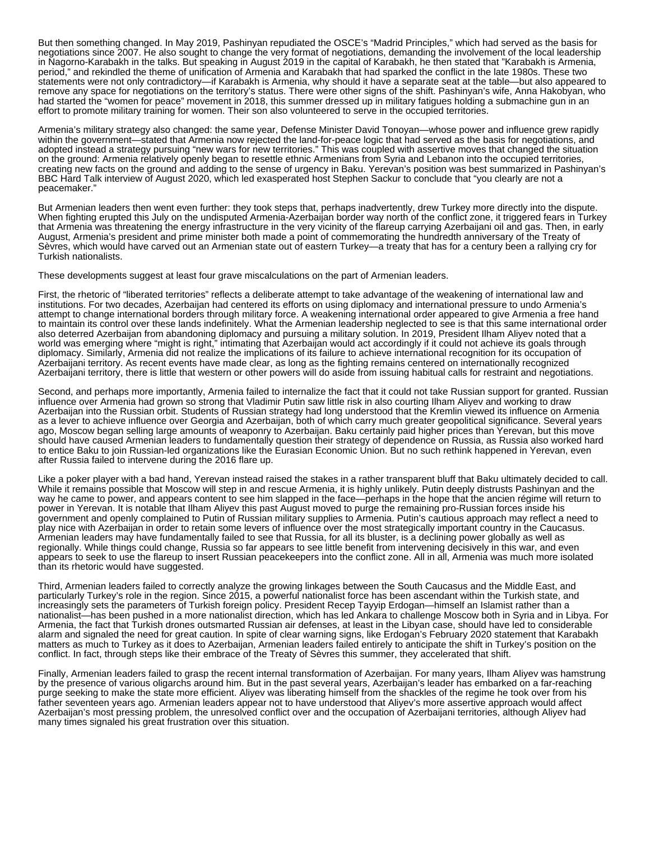But then something changed. In May 2019, Pashinyan repudiated the OSCE's "Madrid Principles," which had served as the basis for negotiations since 2007. He also sought to change the very format of negotiations, demanding the involvement of the local leadership in Nagorno-Karabakh in the talks. But speaking in August 2019 in the capital of Karabakh, he then stated that "Karabakh is Armenia, period," and rekindled the theme of unification of Armenia and Karabakh that had sparked the conflict in the late 1980s. These two statements were not only contradictory—if Karabakh is Armenia, why should it have a separate seat at the table—but also appeared to remove any space for negotiations on the territory's status. There were other signs of the shift. Pashinyan's wife, Anna Hakobyan, who had started the "women for peace" movement in 2018, this summer dressed up in military fatigues holding a submachine gun in an effort to promote military training for women. Their son also volunteered to serve in the occupied territories.

Armenia's military strategy also changed: the same year, Defense Minister David Tonoyan—whose power and influence grew rapidly within the government—stated that Armenia now rejected the land-for-peace logic that had served as the basis for negotiations, and adopted instead a strategy pursuing "new wars for new territories." This was coupled with assertive moves that changed the situation on the ground: Armenia relatively openly began to resettle ethnic Armenians from Syria and Lebanon into the occupied territories, creating new facts on the ground and adding to the sense of urgency in Baku. Yerevan's position was best summarized in Pashinyan's BBC Hard Talk interview of August 2020, which led exasperated host Stephen Sackur to conclude that "you clearly are not a peacemaker."

But Armenian leaders then went even further: they took steps that, perhaps inadvertently, drew Turkey more directly into the dispute. When fighting erupted this July on the undisputed Armenia-Azerbaijan border way north of the conflict zone, it triggered fears in Turkey that Armenia was threatening the energy infrastructure in the very vicinity of the flareup carrying Azerbaijani oil and gas. Then, in early August, Armenia's president and prime minister both made a point of commemorating the hundredth anniversary of the Treaty of Sèvres, which would have carved out an Armenian state out of eastern Turkey—a treaty that has for a century been a rallying cry for Turkish nationalists.

These developments suggest at least four grave miscalculations on the part of Armenian leaders.

First, the rhetoric of "liberated territories" reflects a deliberate attempt to take advantage of the weakening of international law and institutions. For two decades, Azerbaijan had centered its efforts on using diplomacy and international pressure to undo Armenia's attempt to change international borders through military force. A weakening international order appeared to give Armenia a free hand to maintain its control over these lands indefinitely. What the Armenian leadership neglected to see is that this same international order also deterred Azerbaijan from abandoning diplomacy and pursuing a military solution. In 2019, President Ilham Aliyev noted that a world was emerging where "might is right," intimating that Azerbaijan would act accordingly if it could not achieve its goals through diplomacy. Similarly, Armenia did not realize the implications of its failure to achieve international recognition for its occupation of Azerbaijani territory. As recent events have made clear, as long as the fighting remains centered on internationally recognized Azerbaijani territory, there is little that western or other powers will do aside from issuing habitual calls for restraint and negotiations.

Second, and perhaps more importantly, Armenia failed to internalize the fact that it could not take Russian support for granted. Russian influence over Armenia had grown so strong that Vladimir Putin saw little risk in also courting Ilham Aliyev and working to draw Azerbaijan into the Russian orbit. Students of Russian strategy had long understood that the Kremlin viewed its influence on Armenia as a lever to achieve influence over Georgia and Azerbaijan, both of which carry much greater geopolitical significance. Several years ago, Moscow began selling large amounts of weaponry to Azerbaijan. Baku certainly paid higher prices than Yerevan, but this move should have caused Armenian leaders to fundamentally question their strategy of dependence on Russia, as Russia also worked hard to entice Baku to join Russian-led organizations like the Eurasian Economic Union. But no such rethink happened in Yerevan, even after Russia failed to intervene during the 2016 flare up.

Like a poker player with a bad hand, Yerevan instead raised the stakes in a rather transparent bluff that Baku ultimately decided to call. While it remains possible that Moscow will step in and rescue Armenia, it is highly unlikely. Putin deeply distrusts Pashinyan and the way he came to power, and appears content to see him slapped in the face—perhaps in the hope that the ancien régime will return to power in Yerevan. It is notable that Ilham Aliyev this past August moved to purge the remaining pro-Russian forces inside his government and openly complained to Putin of Russian military supplies to Armenia. Putin's cautious approach may reflect a need to play nice with Azerbaijan in order to retain some levers of influence over the most strategically important country in the Caucasus. Armenian leaders may have fundamentally failed to see that Russia, for all its bluster, is a declining power globally as well as regionally. While things could change, Russia so far appears to see little benefit from intervening decisively in this war, and even appears to seek to use the flareup to insert Russian peacekeepers into the conflict zone. All in all, Armenia was much more isolated than its rhetoric would have suggested.

Third, Armenian leaders failed to correctly analyze the growing linkages between the South Caucasus and the Middle East, and particularly Turkey's role in the region. Since 2015, a powerful nationalist force has been ascendant within the Turkish state, and increasingly sets the parameters of Turkish foreign policy. President Recep Tayyip Erdogan—himself an Islamist rather than a nationalist—has been pushed in a more nationalist direction, which has led Ankara to challenge Moscow both in Syria and in Libya. For Armenia, the fact that Turkish drones outsmarted Russian air defenses, at least in the Libyan case, should have led to considerable alarm and signaled the need for great caution. In spite of clear warning signs, like Erdogan's February 2020 statement that Karabakh matters as much to Turkey as it does to Azerbaijan, Armenian leaders failed entirely to anticipate the shift in Turkey's position on the conflict. In fact, through steps like their embrace of the Treaty of Sèvres this summer, they accelerated that shift.

Finally, Armenian leaders failed to grasp the recent internal transformation of Azerbaijan. For many years, Ilham Aliyev was hamstrung by the presence of various oligarchs around him. But in the past several years, Azerbaijan's leader has embarked on a far-reaching purge seeking to make the state more efficient. Aliyev was liberating himself from the shackles of the regime he took over from his father seventeen years ago. Armenian leaders appear not to have understood that Aliyev's more assertive approach would affect Azerbaijan's most pressing problem, the unresolved conflict over and the occupation of Azerbaijani territories, although Aliyev had many times signaled his great frustration over this situation.